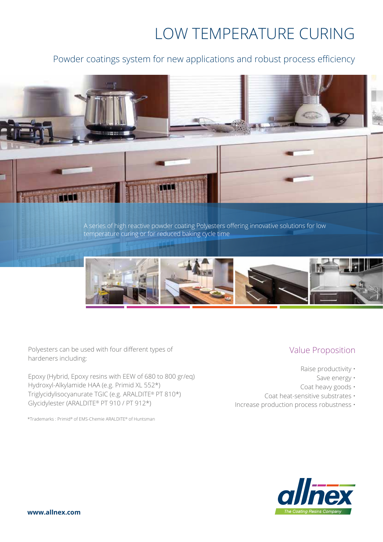# LOW TEMPERATURE CURING

# Powder coatings system for new applications and robust process efficiency



Polyesters can be used with four different types of hardeners including:

Epoxy (Hybrid, Epoxy resins with EEW of 680 to 800 gr/eq) Hydroxyl-Alkylamide HAA (e.g. Primid XL 552\*) Triglycidylisocyanurate TGIC (e.g. ARALDITE® PT 810\*) Glycidylester (ARALDITE® PT 910 / PT 912\*)

\*Trademarks : Primid® of EMS-Chemie ARALDITE® of Huntsman

## Value Proposition

- Raise productivity
	- Save energy •
- Coat heavy goods ·
- Coat heat-sensitive substrates •
- Increase production process robustness •

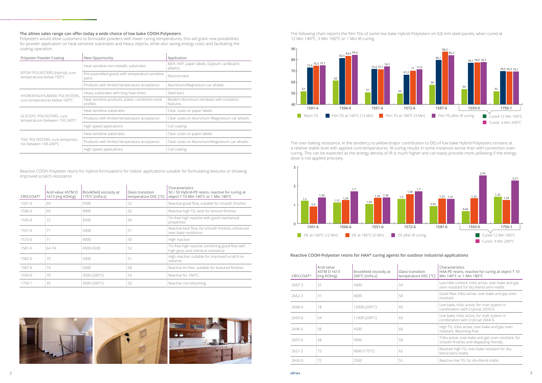| Polyester Powder Coating                                           | New Opportunity                                             | Application                                            |
|--------------------------------------------------------------------|-------------------------------------------------------------|--------------------------------------------------------|
| EPOXY POLYESTERS (Hybrid), cure<br>temperatures below 150°C        | Heat sensitive non-metallic substrates                      | MDF, HDF, paper labels, Gypsum cardboard,<br>plastics. |
|                                                                    | Pre-assembled goods with temperature sensitive<br>parts     | Flectromotor.                                          |
|                                                                    | Products with limited temperature acceptance                | Aluminium/Magnesium car wheels.                        |
| HYDROXYALKYLAMIDE POLYESTERS,                                      | Heavy substrates with long heat times                       | Steel bars.                                            |
| cure temperatures below 160°C                                      | Heat sensitive products, plastic combined metal<br>profiles | Modern Aluminium windows with insulation<br>features.  |
|                                                                    | Heat sensitive substrates                                   | Clear coats on paper labels.                           |
| <b>GLYCIDYL POLYESTERS, cure</b><br>temperatures between 150-240°C | Products with limited temperature acceptance                | Clear coats on Aluminium /Magnesium car wheels.        |
|                                                                    | High speed applications                                     | Coil coating.                                          |
|                                                                    | Heat sensitive substrates                                   | Clear coats on paper labels.                           |
| TGIC POLYESTERS, cure temperatu-<br>res between 140-240°C          | Products with limited temperature acceptance                | Clear coats on Aluminium/Magnesium car wheels.         |
|                                                                    | High speed applications                                     | Coil coating.                                          |

### **The allnex sales range can offer today a wide choice of low bake COOH-Polyesters**

Polyesters would allow customers to formulate powders with lower curing-temperatures, this will grant new possibilities for powder application on heat-sensitive substrates and heavy objects, while also saving energy costs and facilitating the coating operation.

Reactive COOH-Polyester resins for Hybrid-formulations for indoor applications suitable for formulating textures or showing improved scratch-resistance.



The following chart reports the film-TGs of some low bake Hybrid-Polyesters on 0,8 mm steel-panels, when cured at 12 Min 140°C, 3 Min 180°C or 1 Min IR-curing.



| <b>CRYLCOAT®</b> | Acid value ASTM D<br>1613 [mg KOH/g] | Brookfield viscosity at<br>175°C [mPa.s] | Glass transition<br>temperature DSC [°C] | Characteristics<br>50 / 50 Hybrid-PE resins, reactive for curing at<br>object T 10 Min 140°C or 1 Min 180°C |
|------------------|--------------------------------------|------------------------------------------|------------------------------------------|-------------------------------------------------------------------------------------------------------------|
| 1501-6           | 69                                   | 5500                                     | 52                                       | Reactive good flow, suitable for smooth finishes                                                            |
| 1506-6           | 69                                   | 9000                                     | 62                                       | Reactive high TG, best for texture finishes                                                                 |
| 1545-6           | 72                                   | 8200                                     | 66                                       | Tin-free high reactive with good mechanical<br>properties                                                   |
| 1551-6           | 71                                   | 5000                                     | 51                                       | Reactive best flow, for smooth finishes, enhanced<br>over-bake resistance.                                  |
| 1572-6           | 71                                   | 4000                                     | 50                                       | High reactive                                                                                               |
| 1581-6           | 64-74                                | 4500-6500                                | 52                                       | Tin-free high reactive combining good flow with<br>high gloss and chemical resistance                       |
| 1582-6           | 70                                   | 5000                                     | 51                                       | High reactive, suitable for improved scratch-re-<br>sistance.                                               |
| 1587-6           | 74                                   | 5600                                     | 58                                       | Reactive tin-free, suitable for textured finishes.                                                          |
| 1593-0           | 70                                   | 3500 (200°C)                             | 54                                       | Reactive for 160°C.                                                                                         |
| 1750-1           | 35                                   | 4500 (200°C)                             | 52                                       | Reactive non-blooming.                                                                                      |



The over-baking resistance, ie the tendency to yellow (major contribution to DE) of low bake Hybrid-Polyesters remains at a relative stable level with applied cure temperatures. IR-curing results in some instances worse than with convection oven curing. This can be expected as the energy density of IR is much higher and can easily provoke more yellowing if the energydose is not applied precisely.

### **Reactive COOH-Polyester resins for HAA\* curing agents for outdoor industrial applications**

| <b>CRYLCOAT®</b> | Acid value<br><b>ASTM D 1613</b><br>[mg KOH/g] | Brookfield viscosity at<br>200°C [mPa.s] | Glass transition<br>temperature DSC [°C] | Characteristics<br>HAA-PE resins, reactive for curing at object T 10<br>Min 140°C or 1 Min 180°C |
|------------------|------------------------------------------------|------------------------------------------|------------------------------------------|--------------------------------------------------------------------------------------------------|
| 2697-3           | 25                                             | 5000                                     | 54                                       | Low HAA content, tribo active, over-bake and gas<br>oven resistant for dry-blend semi-matte.     |
| 2662-3           | 31                                             | 4000                                     | 58                                       | Good flow, tribo-active, over-bake and gas oven<br>resistant.                                    |
| 2668-6           | 18                                             | 12000 (200°C)                            | 60                                       | Low bake, tribo active, for matt system in<br>combination with Crylcoat 2693-6.                  |
| 2693-6           | 54                                             | 11000 (200°C)                            | 60                                       | Low bake, tribo active, for matt system in<br>combination with Crylcoat 2668-6.                  |
| 2696-6           | 38                                             | 4500                                     | 60                                       | High TG, tribo active, over-bake and gas oven<br>resistant. Blooming-free.                       |
| 2655-6           | 48                                             | 5800                                     | 58                                       | Tribo active, over-bake and gas oven resistant, for<br>smooth finishes and degassing friendly.   |
| 2621-2           | 73                                             | 9000 (175°C)                             | 62                                       | Reactive high TG, over-bake resistant for dry-<br>blend semi-matte.                              |
| 2642-0           | 72                                             | 2500                                     | 52                                       | Reactive low TG, for dry-blend matte.                                                            |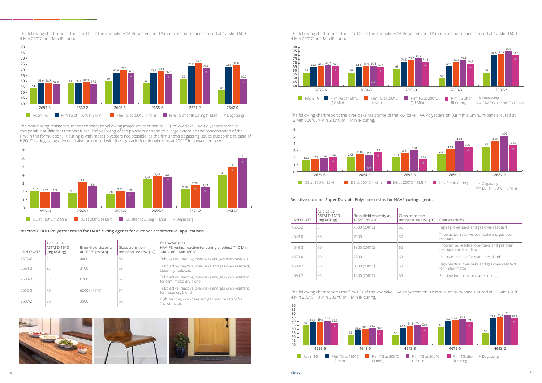The over-baking resistance, ie the tendency to yellowing (major contribution to DE), of low bake HAA-Polyesters remains comparable at different temperatures. The yellowing of the powders depend to a large extent on the concentration of the HAA in the formulation. IR-curing is with most Polyesters not possible, as the film shows degassing issues due to the release of H2O. This degassing effect can also be noticed with the high acid-functional resins at 200°C in convection oven.

The following chart reports the film-TGs of the low bake HAA-Polyesters on 0,8 mm aluminum-panels, cured at 12 Min 160°C, 4 Min 200°C or 1 Min IR-curing.

#### **Reactive COOH-Polyester resins for HAA\* curing agents for outdoor architectural applications**

| <b>CRYLCOAT®</b> | Acid value<br><b>ASTM D 1613</b><br>[mg KOH/g] | Brookfield viscosity<br>at 200°C [mPa.s] | Glass transition<br>temperature DSC [°C] | Characteristics<br>HAA-PE resins, reactive for curing at object T 10 Min<br>140°C or 1 Min 180°C |
|------------------|------------------------------------------------|------------------------------------------|------------------------------------------|--------------------------------------------------------------------------------------------------|
| 2679-6           | 31                                             | 4800                                     | 58                                       | Tribo active, reactive, over-bake and gas oven resistant.                                        |
| 2664-3           | 32                                             | 3100                                     | 58                                       | Tribo-active, reactive, over-bake and gas oven resistant,<br>blooming-reduced.                   |
| 2693-3           | 53                                             | 6200                                     | 63                                       | Tribo active, reactive, over-bake and gas oven resistant<br>for semi-matte dry blend.            |
| 2650-3           | 70                                             | 6200 (175°C)                             | 51                                       | Tribo active, reactive, over-bake and gas oven resistant,<br>for matte dry blend.                |
| 2687-2           | 90                                             | 3500                                     | 58                                       | High reactive, over-bake and gas oven resistant for<br>1-shot matte.                             |



The following chart reports the film-TGs of the low bake HAA-Polyesters on 0,8 mm aluminum-panels, cured at 12 Min 160°C, 4 Min 200°C or 1 Min IR-curing.

The following chart reports the over-bake resistance of the low bake HAA-Polyesters on 0,8 mm aluminum-panels, cured at 12 Min 160°C, 4 Min 200°C or 1 Min IR-curing.

The following chart reports the film-TGs of the low bake HAA-Polyesters on 0,8 mm aluminum-panels, cured at 12 Min 160°C, 4 Min 200°C, 13 Min 200 °C or 1 Min IR-curing.

#### **Reactive outdoor Super Durable Polyester resins for HAA\* curing agents**

| <b>CRYLCOAT®</b> | Acid value<br><b>ASTM D 1613</b><br>[mg KOH/g] | Brookfield viscosity at<br>175°C [mPa.s] | Glass transition<br>temperature DSC [°C] | Characteristics                                                              |
|------------------|------------------------------------------------|------------------------------------------|------------------------------------------|------------------------------------------------------------------------------|
| 4655-2           | 31                                             | 7500 (200°C)                             | 66                                       | High Tg, over-bake and gas oven resistant.                                   |
| 4648-0           | 38                                             | 7500                                     | 50                                       | Tribo-active, reactive, over-bake and gas oven<br>resistant.                 |
| 4643-3           | 50                                             | 1800 (200°C)                             | 62                                       | Tribo active, reactive, over-bake and gas oven<br>resistant, excellent flow. |
| $4679 - 0$       | 70                                             | 7500                                     | 63                                       | Reactive, suitable for matte dry blend.                                      |
| 4693-2           | 90                                             | 3500 (200°C)                             | 58                                       | High reactive, over-bake and gas oven resistant<br>for 1-shot matte.         |
| 4694-2           | 85                                             | 1500 (200°C)                             | 55                                       | Reactive for one-shot matte coatings.                                        |









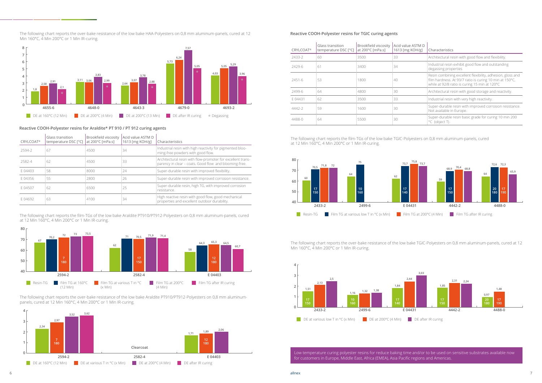

The following chart reports the over-bake resistance of the low bake Araldite PT910/PT912-Polyesters on 0,8 mm aluminumpanels, cured at 12 Min 160°C, 4 Min 200°C or 1 Min IR-curing.

#### **Reactive COOH-Polyester resins for TGIC curing agents**

| <b>CRYLCOAT®</b> | Glass transition<br>temperature DSC [°C] | Brookfield viscosity<br>at 200°C [mPa.s] | Acid value ASTM D<br>1613 [mg KOH/g] | Characteristics                                                                                                                                                        |
|------------------|------------------------------------------|------------------------------------------|--------------------------------------|------------------------------------------------------------------------------------------------------------------------------------------------------------------------|
| 2433-2           | 60                                       | 3500                                     | 33                                   | Architectural resin with good flow and flexibility.                                                                                                                    |
| 2429-6           | 61                                       | 3400                                     | 34                                   | Industrial resin exhibit good flow and outstanding<br>degassing properties                                                                                             |
| 2451-6           | 53                                       | 1800                                     | 40                                   | Resin combining excellent flexibility, adhesion, gloss and<br>film hardness. At 93/7 ratio is curing 10 min at 150°C,<br>while at 92/8 ratio is curing 15 min at 120°C |
| 2499-6           | 64                                       | 4800                                     | 30                                   | Architectural resin with good storage and reactivity.                                                                                                                  |
| E04431           | 62                                       | 3500                                     | 33                                   | Industrial resin with very high reactivity.                                                                                                                            |
| 4442-2           | 59                                       | 1600                                     | 30                                   | Super-durable resin with improved corrosion resistance.<br>Not available in Europe.                                                                                    |
| 4488-0           | 64                                       | 5500                                     | 30                                   | Super-durable resin basic grade for curing 10 min 200<br>°C (object T).                                                                                                |

The following chart reports the over-bake resistance of the low bake HAA-Polyesters on 0,8 mm aluminum-panels, cured at 12 Min 160°C, 4 Min 200°C or 1 Min IR-curing.

> The following chart reports the film-TGs of the low bake TGIC-Polyesters on 0,8 mm aluminum-panels, cured at 12 Min 160°C, 4 Min 200°C or 1 Min IR-curing.

### The following chart reports the over-bake resistance of the low bake TGIC-Polyesters on 0,8 mm aluminum-panels, cured at 12

Low temperature curing polyester resins for reduce baking time and/or to be used on sensitive substrates available now for customers in Europe, Middle East, Africa (EMEA), Asia Pacific regions and Americas.

### **Reactive COOH-Polyester resins for Araldite\* PT 910 / PT 912 curing agents**

| <b>CRYLCOAT®</b> | Glass transition<br>temperature DSC [°C] | Brookfield viscosity<br>at 200°C [mPa.s] | Acid value ASTM D<br>1613 [mg KOH/g] | Characteristics                                                                                                       |
|------------------|------------------------------------------|------------------------------------------|--------------------------------------|-----------------------------------------------------------------------------------------------------------------------|
| 2594-2           | 67                                       | 4500                                     | 34                                   | Industrial resin with high reactivity for pigmented bloo-<br>ming-free powders with good flow.                        |
| 2582-4           | 62                                       | 4500                                     | 33                                   | Architectural resin with flow-promoter for excellent trans-<br>parency in clear – coats. Good flow and blooming-free. |
| E04403           | 58                                       | 8000                                     | 24                                   | Super-durable resin with improved flexibility.                                                                        |
| F04356           | 55                                       | 2800                                     | 26                                   | Super-durable resin with improved corrosion resistance.                                                               |
| F 04507          | 62                                       | 6500                                     | 25                                   | Super-durable resin, high TG, with improved corrosion<br>resistance.                                                  |
| F04692           | 63                                       | 4100                                     | 34                                   | High reactive resin with good flow, good mechanical<br>properties and excellent outdoor durability.                   |











Min 160°C, 4 Min 200°C or 1 Min IR-curing.